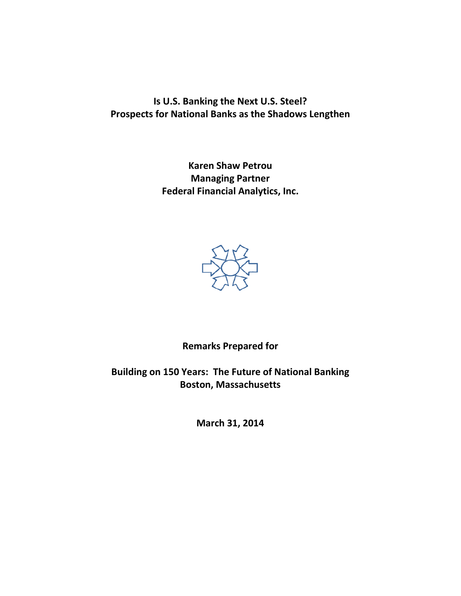**Is U.S. Banking the Next U.S. Steel? Prospects for National Banks as the Shadows Lengthen**

> **Karen Shaw Petrou Managing Partner Federal Financial Analytics, Inc.**



**Remarks Prepared for**

**Building on 150 Years: The Future of National Banking Boston, Massachusetts**

**March 31, 2014**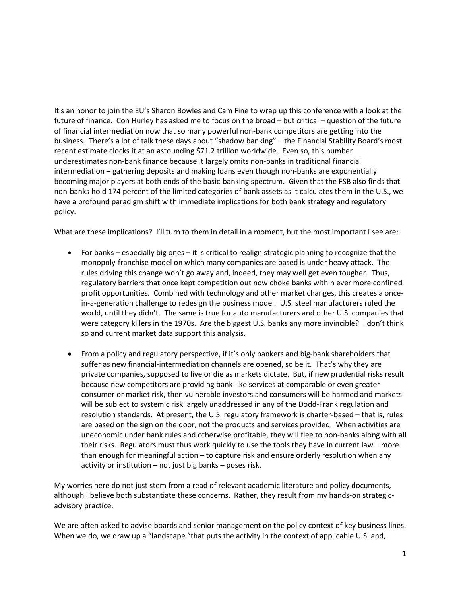It's an honor to join the EU's Sharon Bowles and Cam Fine to wrap up this conference with a look at the future of finance. Con Hurley has asked me to focus on the broad – but critical – question of the future of financial intermediation now that so many powerful non-bank competitors are getting into the business. There's a lot of talk these days about "shadow banking" – the Financial Stability Board's most recent estimate clocks it at an astounding \$71.2 trillion worldwide. Even so, this number underestimates non-bank finance because it largely omits non-banks in traditional financial intermediation – gathering deposits and making loans even though non-banks are exponentially becoming major players at both ends of the basic-banking spectrum. Given that the FSB also finds that non-banks hold 174 percent of the limited categories of bank assets as it calculates them in the U.S., we have a profound paradigm shift with immediate implications for both bank strategy and regulatory policy.

What are these implications? I'll turn to them in detail in a moment, but the most important I see are:

- For banks especially big ones it is critical to realign strategic planning to recognize that the monopoly-franchise model on which many companies are based is under heavy attack. The rules driving this change won't go away and, indeed, they may well get even tougher. Thus, regulatory barriers that once kept competition out now choke banks within ever more confined profit opportunities. Combined with technology and other market changes, this creates a oncein-a-generation challenge to redesign the business model. U.S. steel manufacturers ruled the world, until they didn't. The same is true for auto manufacturers and other U.S. companies that were category killers in the 1970s. Are the biggest U.S. banks any more invincible? I don't think so and current market data support this analysis.
- From a policy and regulatory perspective, if it's only bankers and big-bank shareholders that suffer as new financial-intermediation channels are opened, so be it. That's why they are private companies, supposed to live or die as markets dictate. But, if new prudential risks result because new competitors are providing bank-like services at comparable or even greater consumer or market risk, then vulnerable investors and consumers will be harmed and markets will be subject to systemic risk largely unaddressed in any of the Dodd-Frank regulation and resolution standards. At present, the U.S. regulatory framework is charter-based – that is, rules are based on the sign on the door, not the products and services provided. When activities are uneconomic under bank rules and otherwise profitable, they will flee to non-banks along with all their risks. Regulators must thus work quickly to use the tools they have in current law – more than enough for meaningful action – to capture risk and ensure orderly resolution when any activity or institution – not just big banks – poses risk.

My worries here do not just stem from a read of relevant academic literature and policy documents, although I believe both substantiate these concerns. Rather, they result from my hands-on strategicadvisory practice.

We are often asked to advise boards and senior management on the policy context of key business lines. When we do, we draw up a "landscape "that puts the activity in the context of applicable U.S. and,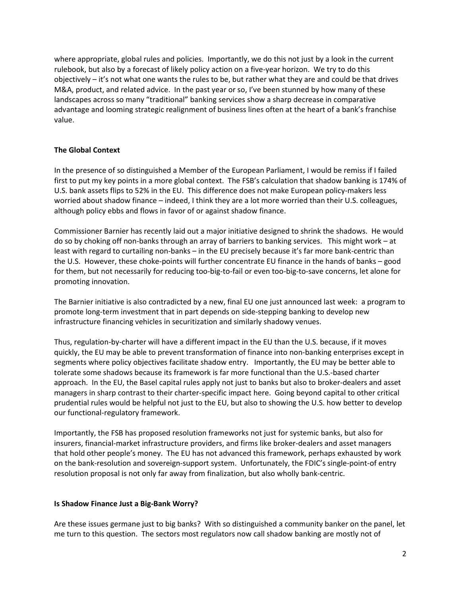where appropriate, global rules and policies. Importantly, we do this not just by a look in the current rulebook, but also by a forecast of likely policy action on a five-year horizon. We try to do this objectively – it's not what one wants the rules to be, but rather what they are and could be that drives M&A, product, and related advice. In the past year or so, I've been stunned by how many of these landscapes across so many "traditional" banking services show a sharp decrease in comparative advantage and looming strategic realignment of business lines often at the heart of a bank's franchise value.

# **The Global Context**

In the presence of so distinguished a Member of the European Parliament, I would be remiss if I failed first to put my key points in a more global context. The FSB's calculation that shadow banking is 174% of U.S. bank assets flips to 52% in the EU. This difference does not make European policy-makers less worried about shadow finance – indeed, I think they are a lot more worried than their U.S. colleagues, although policy ebbs and flows in favor of or against shadow finance.

Commissioner Barnier has recently laid out a major initiative designed to shrink the shadows. He would do so by choking off non-banks through an array of barriers to banking services. This might work – at least with regard to curtailing non-banks – in the EU precisely because it's far more bank-centric than the U.S. However, these choke-points will further concentrate EU finance in the hands of banks – good for them, but not necessarily for reducing too-big-to-fail or even too-big-to-save concerns, let alone for promoting innovation.

The Barnier initiative is also contradicted by a new, final EU one just announced last week: a program to promote long-term investment that in part depends on side-stepping banking to develop new infrastructure financing vehicles in securitization and similarly shadowy venues.

Thus, regulation-by-charter will have a different impact in the EU than the U.S. because, if it moves quickly, the EU may be able to prevent transformation of finance into non-banking enterprises except in segments where policy objectives facilitate shadow entry. Importantly, the EU may be better able to tolerate some shadows because its framework is far more functional than the U.S.-based charter approach. In the EU, the Basel capital rules apply not just to banks but also to broker-dealers and asset managers in sharp contrast to their charter-specific impact here. Going beyond capital to other critical prudential rules would be helpful not just to the EU, but also to showing the U.S. how better to develop our functional-regulatory framework.

Importantly, the FSB has proposed resolution frameworks not just for systemic banks, but also for insurers, financial-market infrastructure providers, and firms like broker-dealers and asset managers that hold other people's money. The EU has not advanced this framework, perhaps exhausted by work on the bank-resolution and sovereign-support system. Unfortunately, the FDIC's single-point-of entry resolution proposal is not only far away from finalization, but also wholly bank-centric.

# **Is Shadow Finance Just a Big-Bank Worry?**

Are these issues germane just to big banks? With so distinguished a community banker on the panel, let me turn to this question. The sectors most regulators now call shadow banking are mostly not of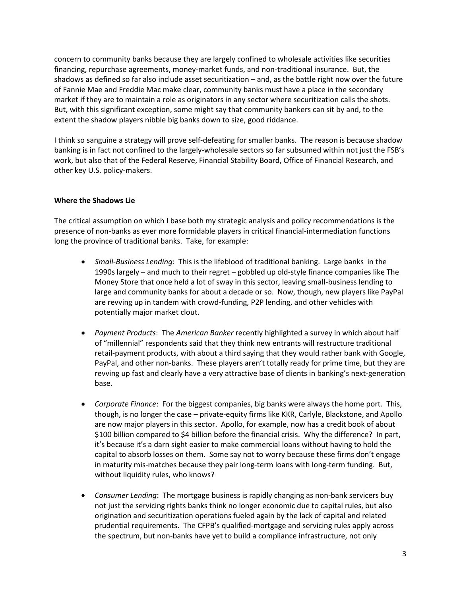concern to community banks because they are largely confined to wholesale activities like securities financing, repurchase agreements, money-market funds, and non-traditional insurance. But, the shadows as defined so far also include asset securitization – and, as the battle right now over the future of Fannie Mae and Freddie Mac make clear, community banks must have a place in the secondary market if they are to maintain a role as originators in any sector where securitization calls the shots. But, with this significant exception, some might say that community bankers can sit by and, to the extent the shadow players nibble big banks down to size, good riddance.

I think so sanguine a strategy will prove self-defeating for smaller banks. The reason is because shadow banking is in fact not confined to the largely-wholesale sectors so far subsumed within not just the FSB's work, but also that of the Federal Reserve, Financial Stability Board, Office of Financial Research, and other key U.S. policy-makers.

# **Where the Shadows Lie**

The critical assumption on which I base both my strategic analysis and policy recommendations is the presence of non-banks as ever more formidable players in critical financial-intermediation functions long the province of traditional banks. Take, for example:

- *Small-Business Lending*: This is the lifeblood of traditional banking. Large banks in the 1990s largely – and much to their regret – gobbled up old-style finance companies like The Money Store that once held a lot of sway in this sector, leaving small-business lending to large and community banks for about a decade or so. Now, though, new players like PayPal are revving up in tandem with crowd-funding, P2P lending, and other vehicles with potentially major market clout.
- *Payment Products*: The *American Banker* recently highlighted a survey in which about half of "millennial" respondents said that they think new entrants will restructure traditional retail-payment products, with about a third saying that they would rather bank with Google, PayPal, and other non-banks. These players aren't totally ready for prime time, but they are revving up fast and clearly have a very attractive base of clients in banking's next-generation base.
- *Corporate Finance*: For the biggest companies, big banks were always the home port. This, though, is no longer the case – private-equity firms like KKR, Carlyle, Blackstone, and Apollo are now major players in this sector. Apollo, for example, now has a credit book of about \$100 billion compared to \$4 billion before the financial crisis. Why the difference? In part, it's because it's a darn sight easier to make commercial loans without having to hold the capital to absorb losses on them. Some say not to worry because these firms don't engage in maturity mis-matches because they pair long-term loans with long-term funding. But, without liquidity rules, who knows?
- *Consumer Lending*: The mortgage business is rapidly changing as non-bank servicers buy not just the servicing rights banks think no longer economic due to capital rules, but also origination and securitization operations fueled again by the lack of capital and related prudential requirements. The CFPB's qualified-mortgage and servicing rules apply across the spectrum, but non-banks have yet to build a compliance infrastructure, not only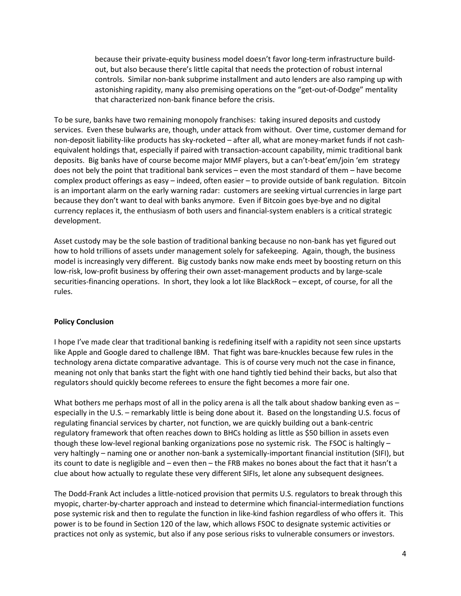because their private-equity business model doesn't favor long-term infrastructure buildout, but also because there's little capital that needs the protection of robust internal controls. Similar non-bank subprime installment and auto lenders are also ramping up with astonishing rapidity, many also premising operations on the "get-out-of-Dodge" mentality that characterized non-bank finance before the crisis.

To be sure, banks have two remaining monopoly franchises: taking insured deposits and custody services. Even these bulwarks are, though, under attack from without. Over time, customer demand for non-deposit liability-like products has sky-rocketed – after all, what are money-market funds if not cashequivalent holdings that, especially if paired with transaction-account capability, mimic traditional bank deposits. Big banks have of course become major MMF players, but a can't-beat'em/join 'em strategy does not bely the point that traditional bank services – even the most standard of them – have become complex product offerings as easy – indeed, often easier – to provide outside of bank regulation. Bitcoin is an important alarm on the early warning radar: customers are seeking virtual currencies in large part because they don't want to deal with banks anymore. Even if Bitcoin goes bye-bye and no digital currency replaces it, the enthusiasm of both users and financial-system enablers is a critical strategic development.

Asset custody may be the sole bastion of traditional banking because no non-bank has yet figured out how to hold trillions of assets under management solely for safekeeping. Again, though, the business model is increasingly very different. Big custody banks now make ends meet by boosting return on this low-risk, low-profit business by offering their own asset-management products and by large-scale securities-financing operations. In short, they look a lot like BlackRock – except, of course, for all the rules.

# **Policy Conclusion**

I hope I've made clear that traditional banking is redefining itself with a rapidity not seen since upstarts like Apple and Google dared to challenge IBM. That fight was bare-knuckles because few rules in the technology arena dictate comparative advantage. This is of course very much not the case in finance, meaning not only that banks start the fight with one hand tightly tied behind their backs, but also that regulators should quickly become referees to ensure the fight becomes a more fair one.

What bothers me perhaps most of all in the policy arena is all the talk about shadow banking even as – especially in the U.S. – remarkably little is being done about it. Based on the longstanding U.S. focus of regulating financial services by charter, not function, we are quickly building out a bank-centric regulatory framework that often reaches down to BHCs holding as little as \$50 billion in assets even though these low-level regional banking organizations pose no systemic risk. The FSOC is haltingly – very haltingly – naming one or another non-bank a systemically-important financial institution (SIFI), but its count to date is negligible and – even then – the FRB makes no bones about the fact that it hasn't a clue about how actually to regulate these very different SIFIs, let alone any subsequent designees.

The Dodd-Frank Act includes a little-noticed provision that permits U.S. regulators to break through this myopic, charter-by-charter approach and instead to determine which financial-intermediation functions pose systemic risk and then to regulate the function in like-kind fashion regardless of who offers it. This power is to be found in Section 120 of the law, which allows FSOC to designate systemic activities or practices not only as systemic, but also if any pose serious risks to vulnerable consumers or investors.